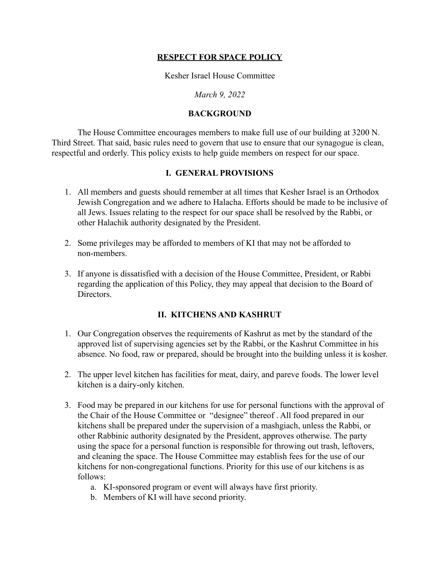#### **RESPECT FOR SPACE POLICY**

Kesher Israel House Committee

*March 9, 2022*

#### **BACKGROUND**

The House Committee encourages members to make full use of our building at 3200 N. Third Street. That said, basic rules need to govern that use to ensure that our synagogue is clean, respectful and orderly. This policy exists to help guide members on respect for our space.

### **I. GENERAL PROVISIONS**

- 1. All members and guests should remember at all times that Kesher Israel is an Orthodox Jewish Congregation and we adhere to Halacha. Efforts should be made to be inclusive of all Jews. Issues relating to the respect for our space shall be resolved by the Rabbi, or other Halachik authority designated by the President.
- 2. Some privileges may be afforded to members of KI that may not be afforded to non-members.
- 3. If anyone is dissatisfied with a decision of the House Committee, President, or Rabbi regarding the application of this Policy, they may appeal that decision to the Board of **Directors**

### **II. KITCHENS AND KASHRUT**

- 1. Our Congregation observes the requirements of Kashrut as met by the standard of the approved list of supervising agencies set by the Rabbi, or the Kashrut Committee in his absence. No food, raw or prepared, should be brought into the building unless it is kosher.
- 2. The upper level kitchen has facilities for meat, dairy, and pareve foods. The lower level kitchen is a dairy-only kitchen.
- 3. Food may be prepared in our kitchens for use for personal functions with the approval of the Chair of the House Committee or "designee" thereof . All food prepared in our kitchens shall be prepared under the supervision of a mashgiach, unless the Rabbi, or other Rabbinic authority designated by the President, approves otherwise. The party using the space for a personal function is responsible for throwing out trash, leftovers, and cleaning the space. The House Committee may establish fees for the use of our kitchens for non-congregational functions. Priority for this use of our kitchens is as follows:
	- a. KI-sponsored program or event will always have first priority.
	- b. Members of KI will have second priority.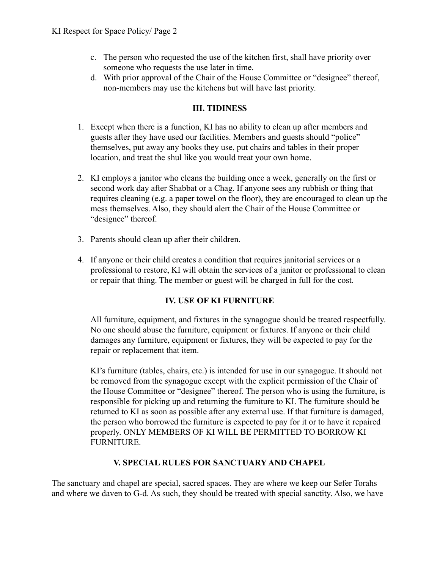- c. The person who requested the use of the kitchen first, shall have priority over someone who requests the use later in time.
- d. With prior approval of the Chair of the House Committee or "designee" thereof, non-members may use the kitchens but will have last priority.

### **III. TIDINESS**

- 1. Except when there is a function, KI has no ability to clean up after members and guests after they have used our facilities. Members and guests should "police" themselves, put away any books they use, put chairs and tables in their proper location, and treat the shul like you would treat your own home.
- 2. KI employs a janitor who cleans the building once a week, generally on the first or second work day after Shabbat or a Chag. If anyone sees any rubbish or thing that requires cleaning (e.g. a paper towel on the floor), they are encouraged to clean up the mess themselves. Also, they should alert the Chair of the House Committee or "designee" thereof.
- 3. Parents should clean up after their children.
- 4. If anyone or their child creates a condition that requires janitorial services or a professional to restore, KI will obtain the services of a janitor or professional to clean or repair that thing. The member or guest will be charged in full for the cost.

# **IV. USE OF KI FURNITURE**

All furniture, equipment, and fixtures in the synagogue should be treated respectfully. No one should abuse the furniture, equipment or fixtures. If anyone or their child damages any furniture, equipment or fixtures, they will be expected to pay for the repair or replacement that item.

KI's furniture (tables, chairs, etc.) is intended for use in our synagogue. It should not be removed from the synagogue except with the explicit permission of the Chair of the House Committee or "designee" thereof. The person who is using the furniture, is responsible for picking up and returning the furniture to KI. The furniture should be returned to KI as soon as possible after any external use. If that furniture is damaged, the person who borrowed the furniture is expected to pay for it or to have it repaired properly. ONLY MEMBERS OF KI WILL BE PERMITTED TO BORROW KI FURNITURE.

# **V. SPECIAL RULES FOR SANCTUARY AND CHAPEL**

The sanctuary and chapel are special, sacred spaces. They are where we keep our Sefer Torahs and where we daven to G-d. As such, they should be treated with special sanctity. Also, we have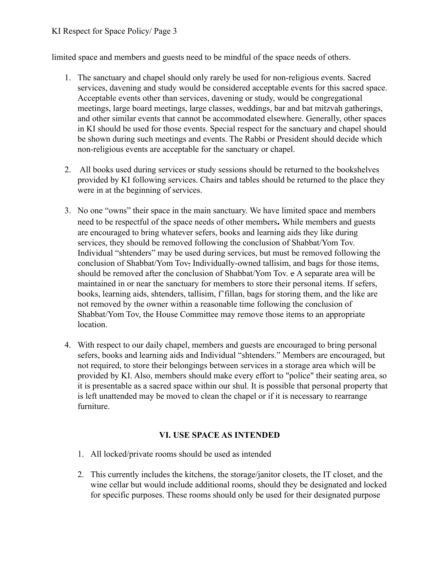### KI Respect for Space Policy/ Page 3

limited space and members and guests need to be mindful of the space needs of others.

- 1. The sanctuary and chapel should only rarely be used for non-religious events. Sacred services, davening and study would be considered acceptable events for this sacred space. Acceptable events other than services, davening or study, would be congregational meetings, large board meetings, large classes, weddings, bar and bat mitzvah gatherings, and other similar events that cannot be accommodated elsewhere. Generally, other spaces in KI should be used for those events. Special respect for the sanctuary and chapel should be shown during such meetings and events. The Rabbi or President should decide which non-religious events are acceptable for the sanctuary or chapel.
- 2. All books used during services or study sessions should be returned to the bookshelves provided by KI following services. Chairs and tables should be returned to the place they were in at the beginning of services.
- 3. No one "owns" their space in the main sanctuary. We have limited space and members need to be respectful of the space needs of other members**.** While members and guests are encouraged to bring whatever sefers, books and learning aids they like during services, they should be removed following the conclusion of Shabbat/Yom Tov. Individual "shtenders" may be used during services, but must be removed following the conclusion of Shabbat/Yom Tov. Individually-owned tallisim, and bags for those items, should be removed after the conclusion of Shabbat/Yom Tov. e A separate area will be maintained in or near the sanctuary for members to store their personal items. If sefers, books, learning aids, shtenders, tallisim, f'fillan, bags for storing them, and the like are not removed by the owner within a reasonable time following the conclusion of Shabbat/Yom Tov, the House Committee may remove those items to an appropriate location.
- 4. With respect to our daily chapel, members and guests are encouraged to bring personal sefers, books and learning aids and Individual "shtenders." Members are encouraged, but not required, to store their belongings between services in a storage area which will be provided by KI. Also, members should make every effort to "police" their seating area, so it is presentable as a sacred space within our shul. It is possible that personal property that is left unattended may be moved to clean the chapel or if it is necessary to rearrange furniture.

### **VI. USE SPACE AS INTENDED**

- 1. All locked/private rooms should be used as intended
- 2. This currently includes the kitchens, the storage/janitor closets, the IT closet, and the wine cellar but would include additional rooms, should they be designated and locked for specific purposes. These rooms should only be used for their designated purpose